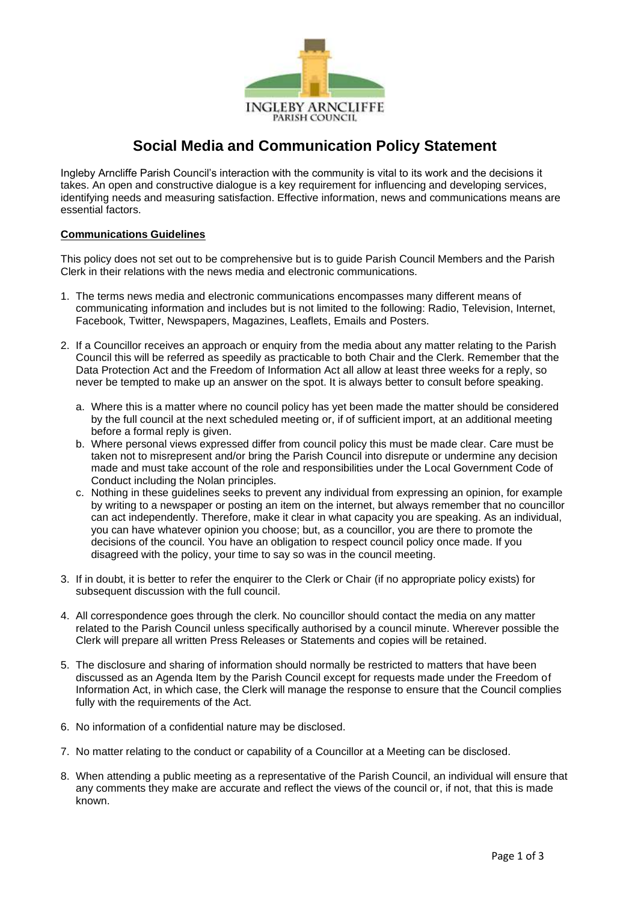

# **Social Media and Communication Policy Statement**

Ingleby Arncliffe Parish Council's interaction with the community is vital to its work and the decisions it takes. An open and constructive dialogue is a key requirement for influencing and developing services, identifying needs and measuring satisfaction. Effective information, news and communications means are essential factors.

# **Communications Guidelines**

This policy does not set out to be comprehensive but is to guide Parish Council Members and the Parish Clerk in their relations with the news media and electronic communications.

- 1. The terms news media and electronic communications encompasses many different means of communicating information and includes but is not limited to the following: Radio, Television, Internet, Facebook, Twitter, Newspapers, Magazines, Leaflets, Emails and Posters.
- 2. If a Councillor receives an approach or enquiry from the media about any matter relating to the Parish Council this will be referred as speedily as practicable to both Chair and the Clerk. Remember that the Data Protection Act and the Freedom of Information Act all allow at least three weeks for a reply, so never be tempted to make up an answer on the spot. It is always better to consult before speaking.
	- a. Where this is a matter where no council policy has yet been made the matter should be considered by the full council at the next scheduled meeting or, if of sufficient import, at an additional meeting before a formal reply is given.
	- b. Where personal views expressed differ from council policy this must be made clear. Care must be taken not to misrepresent and/or bring the Parish Council into disrepute or undermine any decision made and must take account of the role and responsibilities under the Local Government Code of Conduct including the Nolan principles.
	- c. Nothing in these guidelines seeks to prevent any individual from expressing an opinion, for example by writing to a newspaper or posting an item on the internet, but always remember that no councillor can act independently. Therefore, make it clear in what capacity you are speaking. As an individual, you can have whatever opinion you choose; but, as a councillor, you are there to promote the decisions of the council. You have an obligation to respect council policy once made. If you disagreed with the policy, your time to say so was in the council meeting.
- 3. If in doubt, it is better to refer the enquirer to the Clerk or Chair (if no appropriate policy exists) for subsequent discussion with the full council.
- 4. All correspondence goes through the clerk. No councillor should contact the media on any matter related to the Parish Council unless specifically authorised by a council minute. Wherever possible the Clerk will prepare all written Press Releases or Statements and copies will be retained.
- 5. The disclosure and sharing of information should normally be restricted to matters that have been discussed as an Agenda Item by the Parish Council except for requests made under the Freedom of Information Act, in which case, the Clerk will manage the response to ensure that the Council complies fully with the requirements of the Act.
- 6. No information of a confidential nature may be disclosed.
- 7. No matter relating to the conduct or capability of a Councillor at a Meeting can be disclosed.
- 8. When attending a public meeting as a representative of the Parish Council, an individual will ensure that any comments they make are accurate and reflect the views of the council or, if not, that this is made known.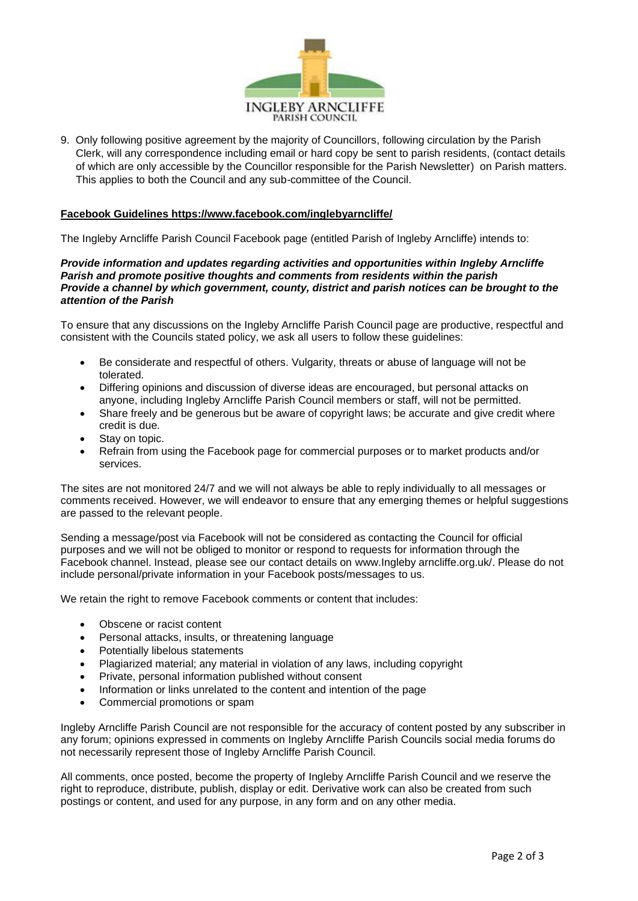

9. Only following positive agreement by the majority of Councillors, following circulation by the Parish Clerk, will any correspondence including email or hard copy be sent to parish residents, (contact details of which are only accessible by the Councillor responsible for the Parish Newsletter) on Parish matters. This applies to both the Council and any sub-committee of the Council.

## **Facebook Guidelines https://www.facebook.com/inglebyarncliffe/**

The Ingleby Arncliffe Parish Council Facebook page (entitled Parish of Ingleby Arncliffe) intends to:

### *Provide information and updates regarding activities and opportunities within Ingleby Arncliffe Parish and promote positive thoughts and comments from residents within the parish Provide a channel by which government, county, district and parish notices can be brought to the attention of the Parish*

To ensure that any discussions on the Ingleby Arncliffe Parish Council page are productive, respectful and consistent with the Councils stated policy, we ask all users to follow these guidelines:

- Be considerate and respectful of others. Vulgarity, threats or abuse of language will not be tolerated.
- Differing opinions and discussion of diverse ideas are encouraged, but personal attacks on anyone, including Ingleby Arncliffe Parish Council members or staff, will not be permitted.
- Share freely and be generous but be aware of copyright laws; be accurate and give credit where credit is due.
- Stay on topic.
- Refrain from using the Facebook page for commercial purposes or to market products and/or services.

The sites are not monitored 24/7 and we will not always be able to reply individually to all messages or comments received. However, we will endeavor to ensure that any emerging themes or helpful suggestions are passed to the relevant people.

Sending a message/post via Facebook will not be considered as contacting the Council for official purposes and we will not be obliged to monitor or respond to requests for information through the Facebook channel. Instead, please see our contact details on www.Ingleby arncliffe.org.uk/. Please do not include personal/private information in your Facebook posts/messages to us.

We retain the right to remove Facebook comments or content that includes:

- Obscene or racist content
- Personal attacks, insults, or threatening language
- Potentially libelous statements
- Plagiarized material; any material in violation of any laws, including copyright
- Private, personal information published without consent
- Information or links unrelated to the content and intention of the page
- Commercial promotions or spam

Ingleby Arncliffe Parish Council are not responsible for the accuracy of content posted by any subscriber in any forum; opinions expressed in comments on Ingleby Arncliffe Parish Councils social media forums do not necessarily represent those of Ingleby Arncliffe Parish Council.

All comments, once posted, become the property of Ingleby Arncliffe Parish Council and we reserve the right to reproduce, distribute, publish, display or edit. Derivative work can also be created from such postings or content, and used for any purpose, in any form and on any other media.